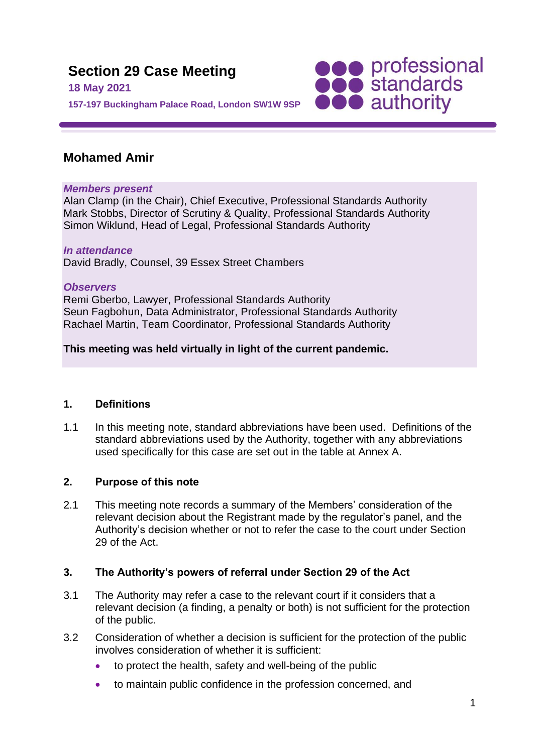

## **Mohamed Amir**

#### *Members present*

Alan Clamp (in the Chair), Chief Executive, Professional Standards Authority Mark Stobbs, Director of Scrutiny & Quality, Professional Standards Authority Simon Wiklund, Head of Legal, Professional Standards Authority

# *In attendance*

David Bradly, Counsel, 39 Essex Street Chambers

## *Observers*

Remi Gberbo, Lawyer, Professional Standards Authority Seun Fagbohun, Data Administrator, Professional Standards Authority Rachael Martin, Team Coordinator, Professional Standards Authority

## **This meeting was held virtually in light of the current pandemic.**

## **1. Definitions**

1.1 In this meeting note, standard abbreviations have been used. Definitions of the standard abbreviations used by the Authority, together with any abbreviations used specifically for this case are set out in the table at Annex A.

## **2. Purpose of this note**

2.1 This meeting note records a summary of the Members' consideration of the relevant decision about the Registrant made by the regulator's panel, and the Authority's decision whether or not to refer the case to the court under Section 29 of the Act.

## **3. The Authority's powers of referral under Section 29 of the Act**

- 3.1 The Authority may refer a case to the relevant court if it considers that a relevant decision (a finding, a penalty or both) is not sufficient for the protection of the public.
- 3.2 Consideration of whether a decision is sufficient for the protection of the public involves consideration of whether it is sufficient:
	- to protect the health, safety and well-being of the public
	- to maintain public confidence in the profession concerned, and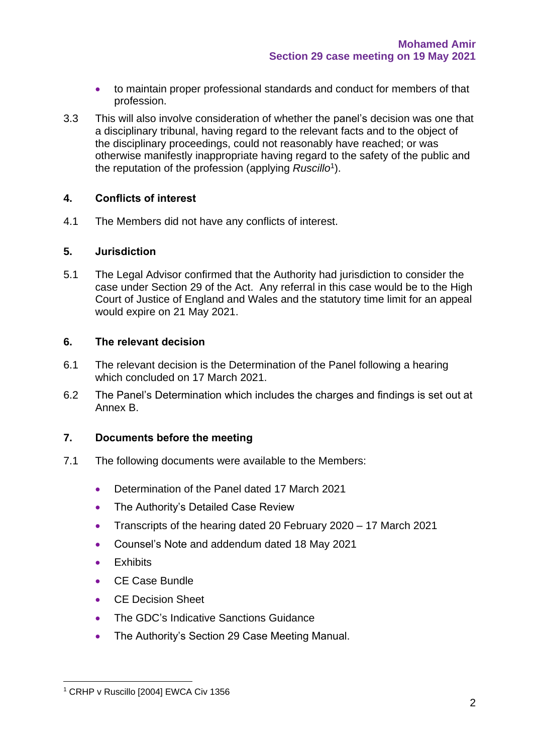- to maintain proper professional standards and conduct for members of that profession.
- 3.3 This will also involve consideration of whether the panel's decision was one that a disciplinary tribunal, having regard to the relevant facts and to the object of the disciplinary proceedings, could not reasonably have reached; or was otherwise manifestly inappropriate having regard to the safety of the public and the reputation of the profession (applying *Ruscillo*<sup>1</sup> ).

#### **4. Conflicts of interest**

4.1 The Members did not have any conflicts of interest.

#### **5. Jurisdiction**

5.1 The Legal Advisor confirmed that the Authority had jurisdiction to consider the case under Section 29 of the Act. Any referral in this case would be to the High Court of Justice of England and Wales and the statutory time limit for an appeal would expire on 21 May 2021.

#### **6. The relevant decision**

- 6.1 The relevant decision is the Determination of the Panel following a hearing which concluded on 17 March 2021.
- 6.2 The Panel's Determination which includes the charges and findings is set out at Annex B.

#### **7. Documents before the meeting**

- 7.1 The following documents were available to the Members:
	- Determination of the Panel dated 17 March 2021
	- The Authority's Detailed Case Review
	- Transcripts of the hearing dated 20 February 2020 17 March 2021
	- Counsel's Note and addendum dated 18 May 2021
	- Exhibits
	- CE Case Bundle
	- CE Decision Sheet
	- The GDC's Indicative Sanctions Guidance
	- The Authority's Section 29 Case Meeting Manual.

<sup>&</sup>lt;sup>1</sup> CRHP v Ruscillo [2004] EWCA Civ 1356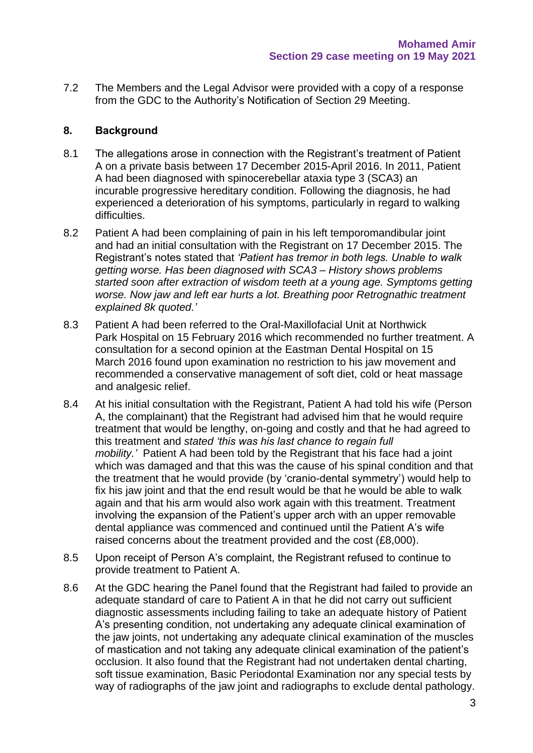7.2 The Members and the Legal Advisor were provided with a copy of a response from the GDC to the Authority's Notification of Section 29 Meeting.

#### **8. Background**

- 8.1 The allegations arose in connection with the Registrant's treatment of Patient A on a private basis between 17 December 2015-April 2016. In 2011, Patient A had been diagnosed with spinocerebellar ataxia type 3 (SCA3) an incurable progressive hereditary condition. Following the diagnosis, he had experienced a deterioration of his symptoms, particularly in regard to walking difficulties.
- 8.2 Patient A had been complaining of pain in his left temporomandibular joint and had an initial consultation with the Registrant on 17 December 2015. The Registrant's notes stated that *'Patient has tremor in both legs. Unable to walk getting worse. Has been diagnosed with SCA3 – History shows problems started soon after extraction of wisdom teeth at a young age. Symptoms getting worse. Now jaw and left ear hurts a lot. Breathing poor Retrognathic treatment explained 8k quoted.'*
- 8.3 Patient A had been referred to the Oral-Maxillofacial Unit at Northwick Park Hospital on 15 February 2016 which recommended no further treatment. A consultation for a second opinion at the Eastman Dental Hospital on 15 March 2016 found upon examination no restriction to his jaw movement and recommended a conservative management of soft diet, cold or heat massage and analgesic relief.
- 8.4 At his initial consultation with the Registrant, Patient A had told his wife (Person A, the complainant) that the Registrant had advised him that he would require treatment that would be lengthy, on-going and costly and that he had agreed to this treatment and *stated 'this was his last chance to regain full mobility.'* Patient A had been told by the Registrant that his face had a joint which was damaged and that this was the cause of his spinal condition and that the treatment that he would provide (by 'cranio-dental symmetry') would help to fix his jaw joint and that the end result would be that he would be able to walk again and that his arm would also work again with this treatment. Treatment involving the expansion of the Patient's upper arch with an upper removable dental appliance was commenced and continued until the Patient A's wife raised concerns about the treatment provided and the cost (£8,000).
- 8.5 Upon receipt of Person A's complaint, the Registrant refused to continue to provide treatment to Patient A.
- 8.6 At the GDC hearing the Panel found that the Registrant had failed to provide an adequate standard of care to Patient A in that he did not carry out sufficient diagnostic assessments including failing to take an adequate history of Patient A's presenting condition, not undertaking any adequate clinical examination of the jaw joints, not undertaking any adequate clinical examination of the muscles of mastication and not taking any adequate clinical examination of the patient's occlusion. It also found that the Registrant had not undertaken dental charting, soft tissue examination, Basic Periodontal Examination nor any special tests by way of radiographs of the jaw joint and radiographs to exclude dental pathology.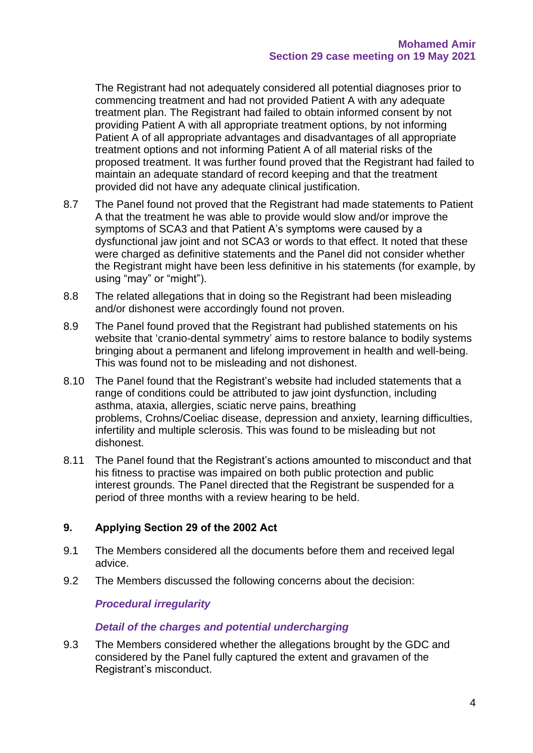The Registrant had not adequately considered all potential diagnoses prior to commencing treatment and had not provided Patient A with any adequate treatment plan. The Registrant had failed to obtain informed consent by not providing Patient A with all appropriate treatment options, by not informing Patient A of all appropriate advantages and disadvantages of all appropriate treatment options and not informing Patient A of all material risks of the proposed treatment. It was further found proved that the Registrant had failed to maintain an adequate standard of record keeping and that the treatment provided did not have any adequate clinical justification.

- 8.7 The Panel found not proved that the Registrant had made statements to Patient A that the treatment he was able to provide would slow and/or improve the symptoms of SCA3 and that Patient A's symptoms were caused by a dysfunctional jaw joint and not SCA3 or words to that effect. It noted that these were charged as definitive statements and the Panel did not consider whether the Registrant might have been less definitive in his statements (for example, by using "may" or "might").
- 8.8 The related allegations that in doing so the Registrant had been misleading and/or dishonest were accordingly found not proven.
- 8.9 The Panel found proved that the Registrant had published statements on his website that 'cranio-dental symmetry' aims to restore balance to bodily systems bringing about a permanent and lifelong improvement in health and well-being. This was found not to be misleading and not dishonest.
- 8.10 The Panel found that the Registrant's website had included statements that a range of conditions could be attributed to jaw joint dysfunction, including asthma, ataxia, allergies, sciatic nerve pains, breathing problems, Crohns/Coeliac disease, depression and anxiety, learning difficulties, infertility and multiple sclerosis. This was found to be misleading but not dishonest.
- 8.11 The Panel found that the Registrant's actions amounted to misconduct and that his fitness to practise was impaired on both public protection and public interest grounds. The Panel directed that the Registrant be suspended for a period of three months with a review hearing to be held.

#### **9. Applying Section 29 of the 2002 Act**

- 9.1 The Members considered all the documents before them and received legal advice.
- 9.2 The Members discussed the following concerns about the decision:

#### *Procedural irregularity*

#### *Detail of the charges and potential undercharging*

9.3 The Members considered whether the allegations brought by the GDC and considered by the Panel fully captured the extent and gravamen of the Registrant's misconduct.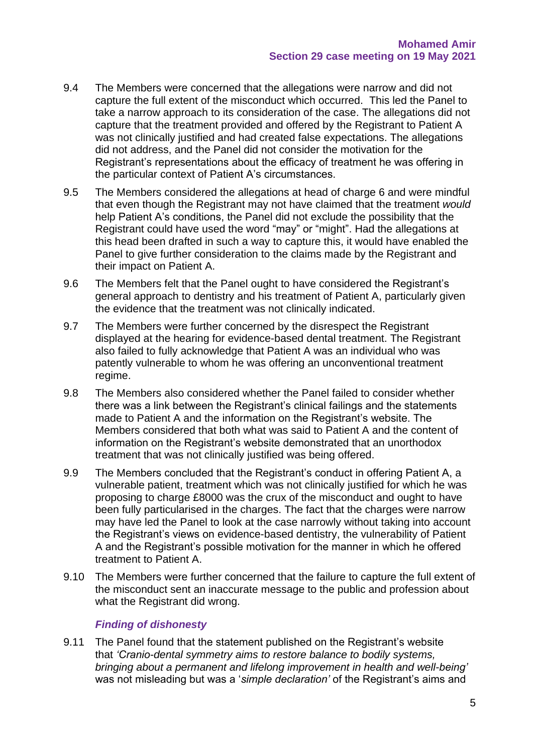- 9.4 The Members were concerned that the allegations were narrow and did not capture the full extent of the misconduct which occurred. This led the Panel to take a narrow approach to its consideration of the case. The allegations did not capture that the treatment provided and offered by the Registrant to Patient A was not clinically justified and had created false expectations. The allegations did not address, and the Panel did not consider the motivation for the Registrant's representations about the efficacy of treatment he was offering in the particular context of Patient A's circumstances.
- 9.5 The Members considered the allegations at head of charge 6 and were mindful that even though the Registrant may not have claimed that the treatment *would* help Patient A's conditions, the Panel did not exclude the possibility that the Registrant could have used the word "may" or "might". Had the allegations at this head been drafted in such a way to capture this, it would have enabled the Panel to give further consideration to the claims made by the Registrant and their impact on Patient A.
- 9.6 The Members felt that the Panel ought to have considered the Registrant's general approach to dentistry and his treatment of Patient A, particularly given the evidence that the treatment was not clinically indicated.
- 9.7 The Members were further concerned by the disrespect the Registrant displayed at the hearing for evidence-based dental treatment. The Registrant also failed to fully acknowledge that Patient A was an individual who was patently vulnerable to whom he was offering an unconventional treatment regime.
- 9.8 The Members also considered whether the Panel failed to consider whether there was a link between the Registrant's clinical failings and the statements made to Patient A and the information on the Registrant's website. The Members considered that both what was said to Patient A and the content of information on the Registrant's website demonstrated that an unorthodox treatment that was not clinically justified was being offered.
- 9.9 The Members concluded that the Registrant's conduct in offering Patient A, a vulnerable patient, treatment which was not clinically justified for which he was proposing to charge £8000 was the crux of the misconduct and ought to have been fully particularised in the charges. The fact that the charges were narrow may have led the Panel to look at the case narrowly without taking into account the Registrant's views on evidence-based dentistry, the vulnerability of Patient A and the Registrant's possible motivation for the manner in which he offered treatment to Patient A.
- 9.10 The Members were further concerned that the failure to capture the full extent of the misconduct sent an inaccurate message to the public and profession about what the Registrant did wrong.

#### *Finding of dishonesty*

9.11 The Panel found that the statement published on the Registrant's website that *'Cranio-dental symmetry aims to restore balance to bodily systems, bringing about a permanent and lifelong improvement in health and well-being'* was not misleading but was a '*simple declaration'* of the Registrant's aims and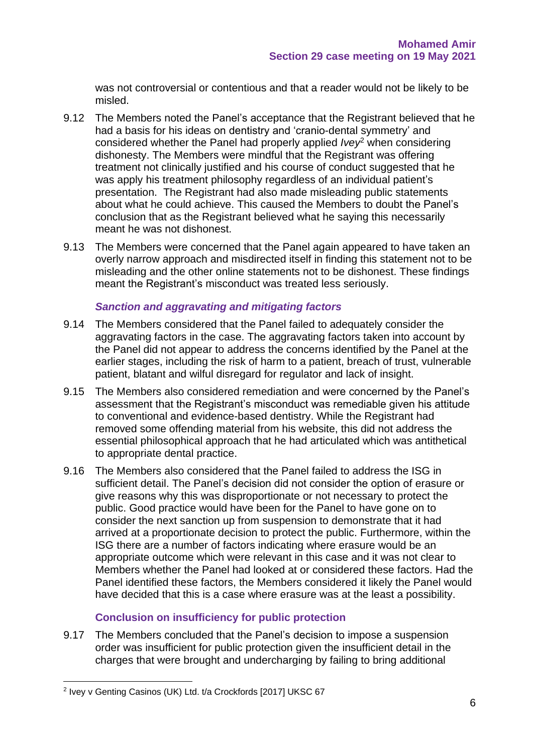was not controversial or contentious and that a reader would not be likely to be misled.

- 9.12 The Members noted the Panel's acceptance that the Registrant believed that he had a basis for his ideas on dentistry and 'cranio-dental symmetry' and considered whether the Panel had properly applied *Ivey*<sup>2</sup> when considering dishonesty. The Members were mindful that the Registrant was offering treatment not clinically justified and his course of conduct suggested that he was apply his treatment philosophy regardless of an individual patient's presentation. The Registrant had also made misleading public statements about what he could achieve. This caused the Members to doubt the Panel's conclusion that as the Registrant believed what he saying this necessarily meant he was not dishonest.
- 9.13 The Members were concerned that the Panel again appeared to have taken an overly narrow approach and misdirected itself in finding this statement not to be misleading and the other online statements not to be dishonest. These findings meant the Registrant's misconduct was treated less seriously.

#### *Sanction and aggravating and mitigating factors*

- 9.14 The Members considered that the Panel failed to adequately consider the aggravating factors in the case. The aggravating factors taken into account by the Panel did not appear to address the concerns identified by the Panel at the earlier stages, including the risk of harm to a patient, breach of trust, vulnerable patient, blatant and wilful disregard for regulator and lack of insight.
- 9.15 The Members also considered remediation and were concerned by the Panel's assessment that the Registrant's misconduct was remediable given his attitude to conventional and evidence-based dentistry. While the Registrant had removed some offending material from his website, this did not address the essential philosophical approach that he had articulated which was antithetical to appropriate dental practice.
- 9.16 The Members also considered that the Panel failed to address the ISG in sufficient detail. The Panel's decision did not consider the option of erasure or give reasons why this was disproportionate or not necessary to protect the public. Good practice would have been for the Panel to have gone on to consider the next sanction up from suspension to demonstrate that it had arrived at a proportionate decision to protect the public. Furthermore, within the ISG there are a number of factors indicating where erasure would be an appropriate outcome which were relevant in this case and it was not clear to Members whether the Panel had looked at or considered these factors. Had the Panel identified these factors, the Members considered it likely the Panel would have decided that this is a case where erasure was at the least a possibility.

#### **Conclusion on insufficiency for public protection**

9.17 The Members concluded that the Panel's decision to impose a suspension order was insufficient for public protection given the insufficient detail in the charges that were brought and undercharging by failing to bring additional

<sup>&</sup>lt;sup>2</sup> Ivey v Genting Casinos (UK) Ltd. t/a Crockfords [2017] UKSC 67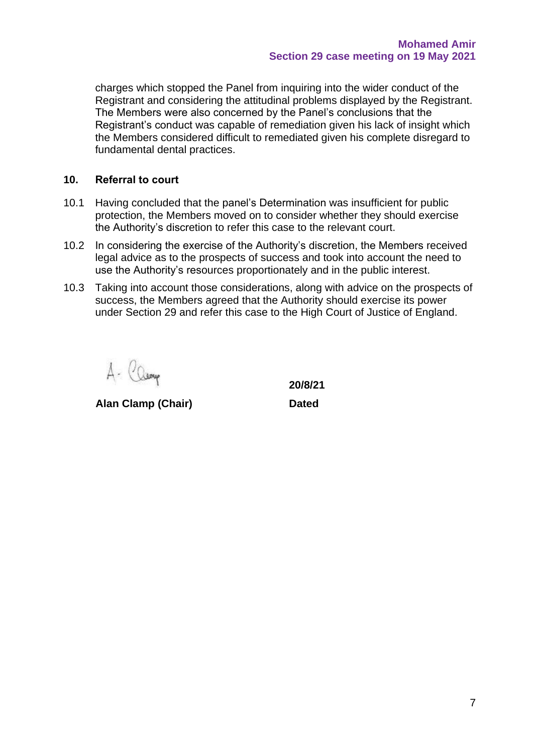charges which stopped the Panel from inquiring into the wider conduct of the Registrant and considering the attitudinal problems displayed by the Registrant. The Members were also concerned by the Panel's conclusions that the Registrant's conduct was capable of remediation given his lack of insight which the Members considered difficult to remediated given his complete disregard to fundamental dental practices.

#### **10. Referral to court**

- 10.1 Having concluded that the panel's Determination was insufficient for public protection, the Members moved on to consider whether they should exercise the Authority's discretion to refer this case to the relevant court.
- 10.2 In considering the exercise of the Authority's discretion, the Members received legal advice as to the prospects of success and took into account the need to use the Authority's resources proportionately and in the public interest.
- 10.3 Taking into account those considerations, along with advice on the prospects of success, the Members agreed that the Authority should exercise its power under Section 29 and refer this case to the High Court of Justice of England.

A- Camp

**Alan Clamp (Chair) Dated**

**20/8/21**